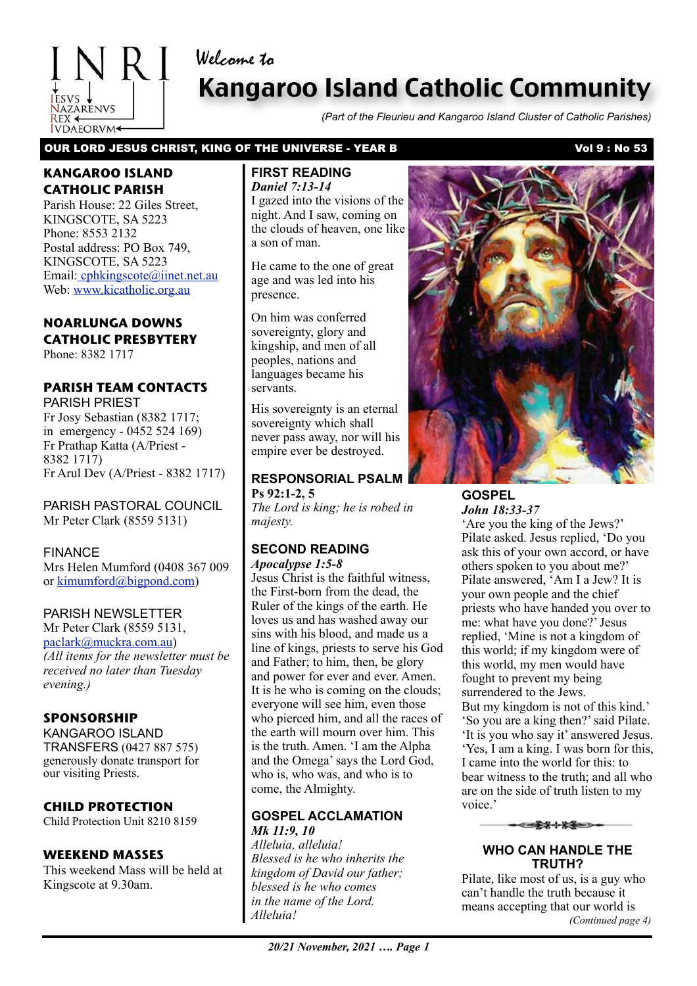# Welcome to

# Kangaroo Island Catholic Community

*(Part of the Fleurieu and Kangaroo Island Cluster of Catholic Parishes)*

OUR LORD JESUS CHRIST, KING OF THE UNIVERSE - YEAR B VOL 9 : No 53

### **KANGAROO ISLAND CATHOLIC PARISH**

**IVDAEORVM** 

NRI

Parish House: 22 Giles Street, KINGSCOTE, SA 5223 Phone: 8553 2132 Postal address: PO Box 749, KINGSCOTE, SA 5223 Email[: cphkingscote@iinet.net.au](mailto:cphkingscote@iinet.net.au) Web: [www.kicatholic.org.au](http://www.kicatholic.org.au)

### **NOARLUNGA DOWNS CATHOLIC PRESBYTERY**

Phone: 8382 1717

## **PARISH TEAM CONTACTS**

PARISH PRIEST Fr Josy Sebastian (8382 1717; in emergency - 0452 524 169) Fr Prathap Katta (A/Priest - 8382 1717) Fr Arul Dev (A/Priest - 8382 1717)

PARISH PASTORAL COUNCIL Mr Peter Clark (8559 5131)

#### FINANCE

Mrs Helen Mumford (0408 367 009 or [kimumford@bigpond.com\)](mailto:kimumford@bigpond.com)

#### PARISH NEWSLETTER

Mr Peter Clark (8559 5131, [paclark@muckra.com.au\)](mailto:paclark@muckra.com.au) *(All items for the newsletter must be received no later than Tuesday evening.)*

#### **SPONSORSHIP**

KANGAROO ISLAND TRANSFERS (0427 887 575) generously donate transport for our visiting Priests.

#### **CHILD PROTECTION**

Child Protection Unit 8210 8159

#### **WEEKEND MASSES**

This weekend Mass will be held at Kingscote at 9.30am.

#### **FIRST READING** *Daniel 7:13-14*

I gazed into the visions of the night. And I saw, coming on the clouds of heaven, one like a son of man.

He came to the one of great age and was led into his presence.

On him was conferred sovereignty, glory and kingship, and men of all peoples, nations and languages became his servants.

His sovereignty is an eternal sovereignty which shall never pass away, nor will his empire ever be destroyed.

**RESPONSORIAL PSALM Ps 92:1-2, 5** *The Lord is king; he is robed in* 

*majesty.*

#### **SECOND READING** *Apocalypse 1:5-8*

Jesus Christ is the faithful witness, the First-born from the dead, the Ruler of the kings of the earth. He loves us and has washed away our sins with his blood, and made us a line of kings, priests to serve his God and Father; to him, then, be glory and power for ever and ever. Amen. It is he who is coming on the clouds; everyone will see him, even those who pierced him, and all the races of the earth will mourn over him. This is the truth. Amen. 'I am the Alpha and the Omega' says the Lord God, who is, who was, and who is to come, the Almighty.

#### **GOSPEL ACCLAMATION** *Mk 11:9, 10*

*Alleluia, alleluia! Blessed is he who inherits the kingdom of David our father; blessed is he who comes in the name of the Lord. Alleluia!*

#### **GOSPEL** *John 18:33-37*

'Are you the king of the Jews?' Pilate asked. Jesus replied, 'Do you ask this of your own accord, or have others spoken to you about me?' Pilate answered, 'Am I a Jew? It is your own people and the chief priests who have handed you over to me: what have you done?' Jesus replied, 'Mine is not a kingdom of this world; if my kingdom were of this world, my men would have fought to prevent my being surrendered to the Jews. But my kingdom is not of this kind.' 'So you are a king then?' said Pilate. 'It is you who say it' answered Jesus. 'Yes, I am a king. I was born for this, I came into the world for this: to bear witness to the truth; and all who are on the side of truth listen to my voice.'



#### **WHO CAN HANDLE THE TRUTH?**

Pilate, like most of us, is a guy who can't handle the truth because it means accepting that our world is *(Continued page 4)*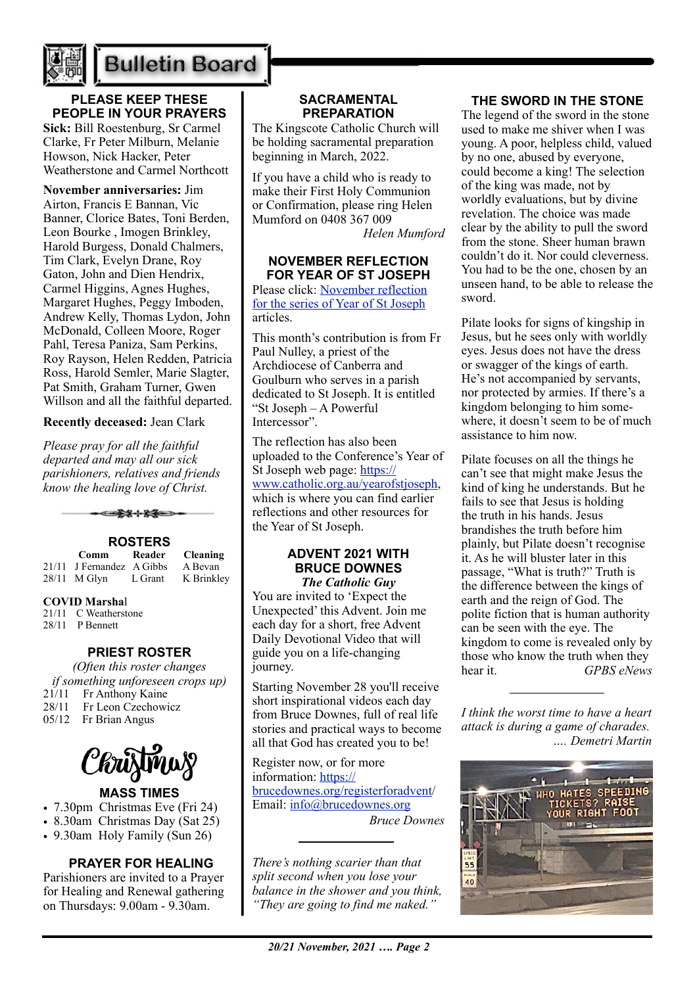

# **Bulletin Board**

# **PLEASE KEEP THESE PEOPLE IN YOUR PRAYERS**

**Sick:** Bill Roestenburg, Sr Carmel Clarke, Fr Peter Milburn, Melanie Howson, Nick Hacker, Peter Weatherstone and Carmel Northcott

**November anniversaries:** Jim Airton, Francis E Bannan, Vic Banner, Clorice Bates, Toni Berden, Leon Bourke , Imogen Brinkley, Harold Burgess, Donald Chalmers, Tim Clark, Evelyn Drane, Roy Gaton, John and Dien Hendrix, Carmel Higgins, Agnes Hughes, Margaret Hughes, Peggy Imboden, Andrew Kelly, Thomas Lydon, John McDonald, Colleen Moore, Roger Pahl, Teresa Paniza, Sam Perkins, Roy Rayson, Helen Redden, Patricia Ross, Harold Semler, Marie Slagter, Pat Smith, Graham Turner, Gwen Willson and all the faithful departed.

**Recently deceased:** Jean Clark

*Please pray for all the faithful departed and may all our sick parishioners, relatives and friends know the healing love of Christ.*



| Comm                      | Reader  | <b>Cleaning</b> |
|---------------------------|---------|-----------------|
| 21/11 J Fernandez A Gibbs |         | A Bevan         |
| $28/11$ M Glyn            | L Grant | K Brinkley      |

#### **COVID Marsha**l

- 21/11 C Weatherstone
- 28/11 P Bennett

#### **PRIEST ROSTER**

*(Often this roster changes if something unforeseen crops up)*<br>21/11 Fr Anthony Kaine 28/11 Fr Leon Czechowicz 05/12 Fr Brian Angus



#### **MASS TIMES**

- 7.30pm Christmas Eve (Fri 24)
- 8.30am Christmas Day (Sat 25)
- 9.30am Holy Family (Sun 26)

# **PRAYER FOR HEALING**

Parishioners are invited to a Prayer for Healing and Renewal gathering on Thursdays: 9.00am - 9.30am.

#### **SACRAMENTAL PREPARATION**

The Kingscote Catholic Church will be holding sacramental preparation beginning in March, 2022.

If you have a child who is ready to make their First Holy Communion or Confirmation, please ring Helen Mumford on 0408 367 009

*Helen Mumford*

#### **NOVEMBER REFLECTION FOR YEAR OF ST JOSEPH**

Please click: [November reflection](https://adelaide.catholic.org.au/__files/f/86531/6.Year%20of%20St%20Joseph%20Reflection%20November%202021.pdf)  [for the series of Year of St Joseph](https://adelaide.catholic.org.au/__files/f/86531/6.Year%20of%20St%20Joseph%20Reflection%20November%202021.pdf) articles.

This month's contribution is from Fr Paul Nulley, a priest of the Archdiocese of Canberra and Goulburn who serves in a parish dedicated to St Joseph. It is entitled "St Joseph – A Powerful Intercessor".

The reflection has also been uploaded to the Conference's Year of St Joseph web page: [https://](https://aus01.safelinks.protection.outlook.com/?url=https%3A%2F%2Fwww.catholic.org.au%2Fyearofstjoseph&data=04%7C01%7Cjbradshaw%40adelaide.catholic.org.au%7Cc5f6534a58f54f85330008d99ce90456%7Cfe51d108d61d407cbcaaaab5af82a7ac%7C1%7C0%7C637713346887683127%7CUnknown%7CTWFpbGZsb3d8eyJWIjoiMC4wLjAwMDAiLCJQIjoiV2luMzIiLCJBTiI6Ik1haWwiLCJXVCI6Mn0%3D%7C1000&sdata=qP2kols2rBZO5x4STCO08qd7xeNPQkbz0COSGMLC7tQ%3D&reserved=0) [www.catholic.org.au/yearofstjoseph,](https://aus01.safelinks.protection.outlook.com/?url=https%3A%2F%2Fwww.catholic.org.au%2Fyearofstjoseph&data=04%7C01%7Cjbradshaw%40adelaide.catholic.org.au%7Cc5f6534a58f54f85330008d99ce90456%7Cfe51d108d61d407cbcaaaab5af82a7ac%7C1%7C0%7C637713346887683127%7CUnknown%7CTWFpbGZsb3d8eyJWIjoiMC4wLjAwMDAiLCJQIjoiV2luMzIiLCJBTiI6Ik1haWwiLCJXVCI6Mn0%3D%7C1000&sdata=qP2kols2rBZO5x4STCO08qd7xeNPQkbz0COSGMLC7tQ%3D&reserved=0) which is where you can find earlier reflections and other resources for the Year of St Joseph.

#### **ADVENT 2021 WITH BRUCE DOWNES** *The Catholic Guy*

You are invited to 'Expect the Unexpected' this Advent. Join me each day for a short, free Advent Daily Devotional Video that will guide you on a life-changing journey.

Starting November 28 you'll receive short inspirational videos each day from Bruce Downes, full of real life stories and practical ways to become all that God has created you to be!

Register now, or for more information: [https://](https://brucedownes.org/registerforadvent) [brucedownes.org/registerforadvent/](https://brucedownes.org/registerforadvent) Email: [info@brucedownes.org](mailto:info@brucedownes.org) *Bruce Downes*

*There's nothing scarier than that split second when you lose your balance in the shower and you think, "They are going to find me naked."*

#### **THE SWORD IN THE STONE**

The legend of the sword in the stone used to make me shiver when I was young. A poor, helpless child, valued by no one, abused by everyone, could become a king! The selection of the king was made, not by worldly evaluations, but by divine revelation. The choice was made clear by the ability to pull the sword from the stone. Sheer human brawn couldn't do it. Nor could cleverness. You had to be the one, chosen by an unseen hand, to be able to release the sword.

Pilate looks for signs of kingship in Jesus, but he sees only with worldly eyes. Jesus does not have the dress or swagger of the kings of earth. He's not accompanied by servants, nor protected by armies. If there's a kingdom belonging to him somewhere, it doesn't seem to be of much assistance to him now.

Pilate focuses on all the things he can't see that might make Jesus the kind of king he understands. But he fails to see that Jesus is holding the truth in his hands. Jesus brandishes the truth before him plainly, but Pilate doesn't recognise it. As he will bluster later in this passage, "What is truth?" Truth is the difference between the kings of earth and the reign of God. The polite fiction that is human authority can be seen with the eye. The kingdom to come is revealed only by those who know the truth when they hear it. *GPBS eNews*

*I think the worst time to have a heart attack is during a game of charades. …. Demetri Martin*

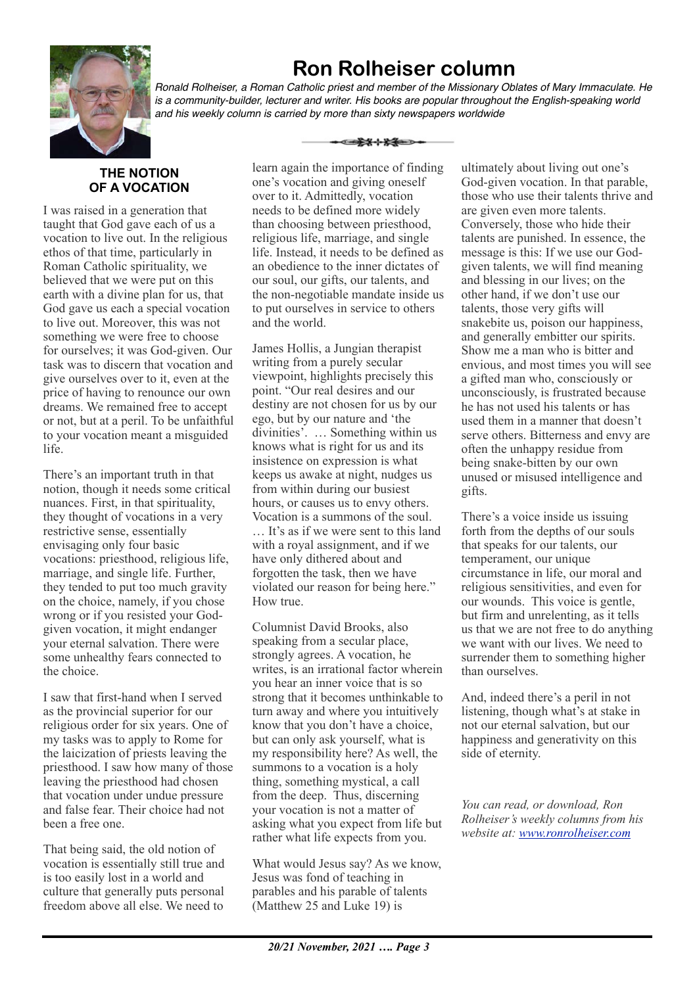

# **Ron Rolheiser column**

*Ronald Rolheiser, a Roman Catholic priest and member of the Missionary Oblates of Mary Immaculate. He is a community-builder, lecturer and writer. His books are popular throughout the English-speaking world and his weekly column is carried by more than sixty newspapers worldwide*

ఆ<del>≵⊀⊹⊁≸</del>

### **THE NOTION OF A VOCATION**

I was raised in a generation that taught that God gave each of us a vocation to live out. In the religious ethos of that time, particularly in Roman Catholic spirituality, we believed that we were put on this earth with a divine plan for us, that God gave us each a special vocation to live out. Moreover, this was not something we were free to choose for ourselves; it was God-given. Our task was to discern that vocation and give ourselves over to it, even at the price of having to renounce our own dreams. We remained free to accept or not, but at a peril. To be unfaithful to your vocation meant a misguided life.

There's an important truth in that notion, though it needs some critical nuances. First, in that spirituality, they thought of vocations in a very restrictive sense, essentially envisaging only four basic vocations: priesthood, religious life, marriage, and single life. Further, they tended to put too much gravity on the choice, namely, if you chose wrong or if you resisted your Godgiven vocation, it might endanger your eternal salvation. There were some unhealthy fears connected to the choice.

I saw that first-hand when I served as the provincial superior for our religious order for six years. One of my tasks was to apply to Rome for the laicization of priests leaving the priesthood. I saw how many of those leaving the priesthood had chosen that vocation under undue pressure and false fear. Their choice had not been a free one.

That being said, the old notion of vocation is essentially still true and is too easily lost in a world and culture that generally puts personal freedom above all else. We need to

learn again the importance of finding one's vocation and giving oneself over to it. Admittedly, vocation needs to be defined more widely than choosing between priesthood, religious life, marriage, and single life. Instead, it needs to be defined as an obedience to the inner dictates of our soul, our gifts, our talents, and the non-negotiable mandate inside us to put ourselves in service to others and the world.

James Hollis, a Jungian therapist writing from a purely secular viewpoint, highlights precisely this point. "Our real desires and our destiny are not chosen for us by our ego, but by our nature and 'the divinities'. … Something within us knows what is right for us and its insistence on expression is what keeps us awake at night, nudges us from within during our busiest hours, or causes us to envy others. Vocation is a summons of the soul.

… It's as if we were sent to this land with a royal assignment, and if we have only dithered about and forgotten the task, then we have violated our reason for being here." How true.

Columnist David Brooks, also speaking from a secular place, strongly agrees. A vocation, he writes, is an irrational factor wherein you hear an inner voice that is so strong that it becomes unthinkable to turn away and where you intuitively know that you don't have a choice, but can only ask yourself, what is my responsibility here? As well, the summons to a vocation is a holy thing, something mystical, a call from the deep. Thus, discerning your vocation is not a matter of asking what you expect from life but rather what life expects from you.

What would Jesus say? As we know, Jesus was fond of teaching in parables and his parable of talents (Matthew 25 and Luke 19) is

ultimately about living out one's God-given vocation. In that parable, those who use their talents thrive and are given even more talents. Conversely, those who hide their talents are punished. In essence, the message is this: If we use our Godgiven talents, we will find meaning and blessing in our lives; on the other hand, if we don't use our talents, those very gifts will snakebite us, poison our happiness, and generally embitter our spirits. Show me a man who is bitter and envious, and most times you will see a gifted man who, consciously or unconsciously, is frustrated because he has not used his talents or has used them in a manner that doesn't serve others. Bitterness and envy are often the unhappy residue from being snake-bitten by our own unused or misused intelligence and gifts.

There's a voice inside us issuing forth from the depths of our souls that speaks for our talents, our temperament, our unique circumstance in life, our moral and religious sensitivities, and even for our wounds. This voice is gentle, but firm and unrelenting, as it tells us that we are not free to do anything we want with our lives. We need to surrender them to something higher than ourselves.

And, indeed there's a peril in not listening, though what's at stake in not our eternal salvation, but our happiness and generativity on this side of eternity.

*You can read, or download, Ron Rolheiser's weekly columns from his website at: [www.ronrolheiser.com](http://www.ronrolheiser.com)*